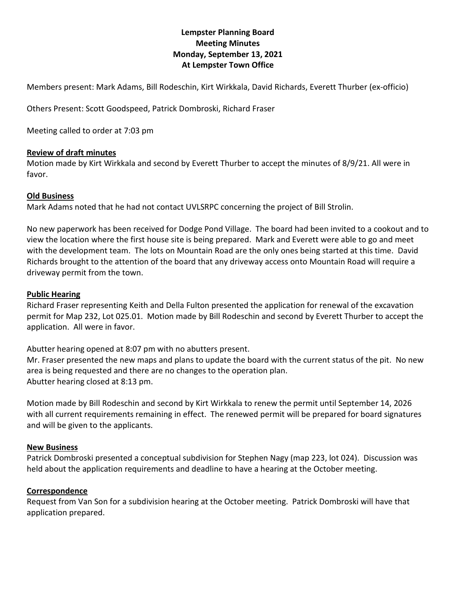## **Lempster Planning Board Meeting Minutes Monday, September 13, 2021 At Lempster Town Office**

Members present: Mark Adams, Bill Rodeschin, Kirt Wirkkala, David Richards, Everett Thurber (ex-officio)

Others Present: Scott Goodspeed, Patrick Dombroski, Richard Fraser

Meeting called to order at 7:03 pm

#### **Review of draft minutes**

Motion made by Kirt Wirkkala and second by Everett Thurber to accept the minutes of 8/9/21. All were in favor.

### **Old Business**

Mark Adams noted that he had not contact UVLSRPC concerning the project of Bill Strolin.

No new paperwork has been received for Dodge Pond Village. The board had been invited to a cookout and to view the location where the first house site is being prepared. Mark and Everett were able to go and meet with the development team. The lots on Mountain Road are the only ones being started at this time. David Richards brought to the attention of the board that any driveway access onto Mountain Road will require a driveway permit from the town.

#### **Public Hearing**

Richard Fraser representing Keith and Della Fulton presented the application for renewal of the excavation permit for Map 232, Lot 025.01. Motion made by Bill Rodeschin and second by Everett Thurber to accept the application. All were in favor.

Abutter hearing opened at 8:07 pm with no abutters present.

Mr. Fraser presented the new maps and plans to update the board with the current status of the pit. No new area is being requested and there are no changes to the operation plan. Abutter hearing closed at 8:13 pm.

Motion made by Bill Rodeschin and second by Kirt Wirkkala to renew the permit until September 14, 2026 with all current requirements remaining in effect. The renewed permit will be prepared for board signatures and will be given to the applicants.

### **New Business**

Patrick Dombroski presented a conceptual subdivision for Stephen Nagy (map 223, lot 024). Discussion was held about the application requirements and deadline to have a hearing at the October meeting.

### **Correspondence**

Request from Van Son for a subdivision hearing at the October meeting. Patrick Dombroski will have that application prepared.